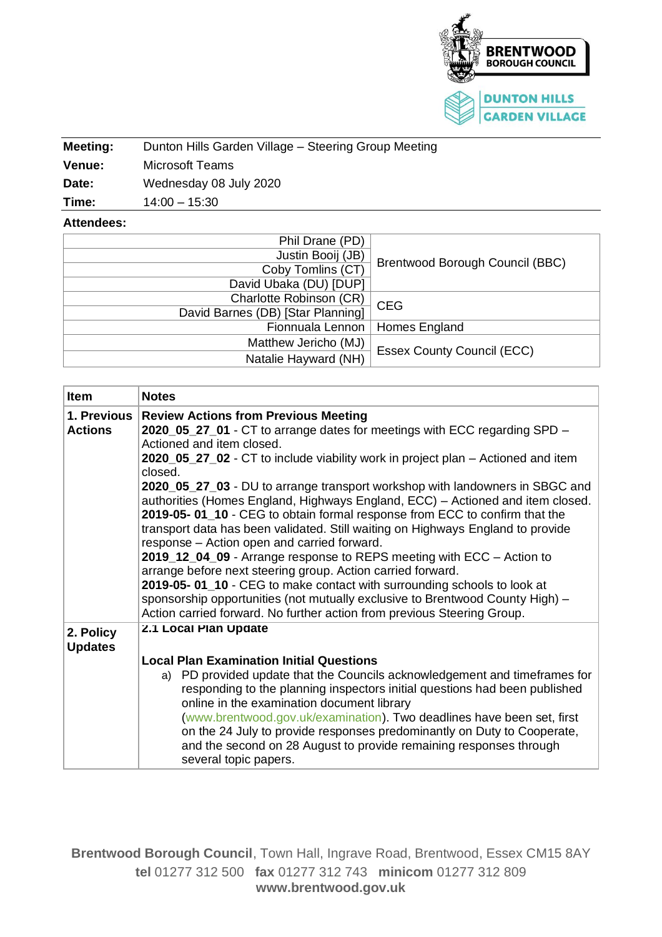

| Meeting:      | Dunton Hills Garden Village - Steering Group Meeting |  |  |  |
|---------------|------------------------------------------------------|--|--|--|
| <b>Venue:</b> | Microsoft Teams                                      |  |  |  |
| Date:         | Wednesday 08 July 2020                               |  |  |  |
| Time:         | $14:00 - 15:30$                                      |  |  |  |

## **Attendees:**

| Phil Drane (PD)                        |                                   |
|----------------------------------------|-----------------------------------|
| Justin Booij (JB)<br>Coby Tomlins (CT) | Brentwood Borough Council (BBC)   |
| David Ubaka (DU) [DUP]                 |                                   |
| Charlotte Robinson (CR)                | <b>CEG</b>                        |
| David Barnes (DB) [Star Planning]      |                                   |
| Fionnuala Lennon                       | Homes England                     |
| Matthew Jericho (MJ)                   | <b>Essex County Council (ECC)</b> |
| Natalie Hayward (NH)                   |                                   |

| <b>Item</b>    | <b>Notes</b>                                                                                |  |  |  |
|----------------|---------------------------------------------------------------------------------------------|--|--|--|
| 1. Previous    | <b>Review Actions from Previous Meeting</b>                                                 |  |  |  |
| <b>Actions</b> | 2020_05_27_01 - CT to arrange dates for meetings with ECC regarding SPD -                   |  |  |  |
|                | Actioned and item closed.                                                                   |  |  |  |
|                | 2020_05_27_02 - CT to include viability work in project plan – Actioned and item<br>closed. |  |  |  |
|                | 2020_05_27_03 - DU to arrange transport workshop with landowners in SBGC and                |  |  |  |
|                | authorities (Homes England, Highways England, ECC) - Actioned and item closed.              |  |  |  |
|                | 2019-05-01_10 - CEG to obtain formal response from ECC to confirm that the                  |  |  |  |
|                | transport data has been validated. Still waiting on Highways England to provide             |  |  |  |
|                | response - Action open and carried forward.                                                 |  |  |  |
|                | 2019_12_04_09 - Arrange response to REPS meeting with ECC - Action to                       |  |  |  |
|                | arrange before next steering group. Action carried forward.                                 |  |  |  |
|                | 2019-05-01_10 - CEG to make contact with surrounding schools to look at                     |  |  |  |
|                | sponsorship opportunities (not mutually exclusive to Brentwood County High) -               |  |  |  |
|                | Action carried forward. No further action from previous Steering Group.                     |  |  |  |
| 2. Policy      | 2.1 Local Plan Update                                                                       |  |  |  |
| <b>Updates</b> |                                                                                             |  |  |  |
|                | <b>Local Plan Examination Initial Questions</b>                                             |  |  |  |
|                | a) PD provided update that the Councils acknowledgement and timeframes for                  |  |  |  |
|                | responding to the planning inspectors initial questions had been published                  |  |  |  |
|                | online in the examination document library                                                  |  |  |  |
|                | (www.brentwood.gov.uk/examination). Two deadlines have been set, first                      |  |  |  |
|                | on the 24 July to provide responses predominantly on Duty to Cooperate,                     |  |  |  |
|                | and the second on 28 August to provide remaining responses through                          |  |  |  |
|                | several topic papers.                                                                       |  |  |  |

**Brentwood Borough Council**, Town Hall, Ingrave Road, Brentwood, Essex CM15 8AY **tel** 01277 312 500 **fax** 01277 312 743 **minicom** 01277 312 809 **www.brentwood.gov.uk**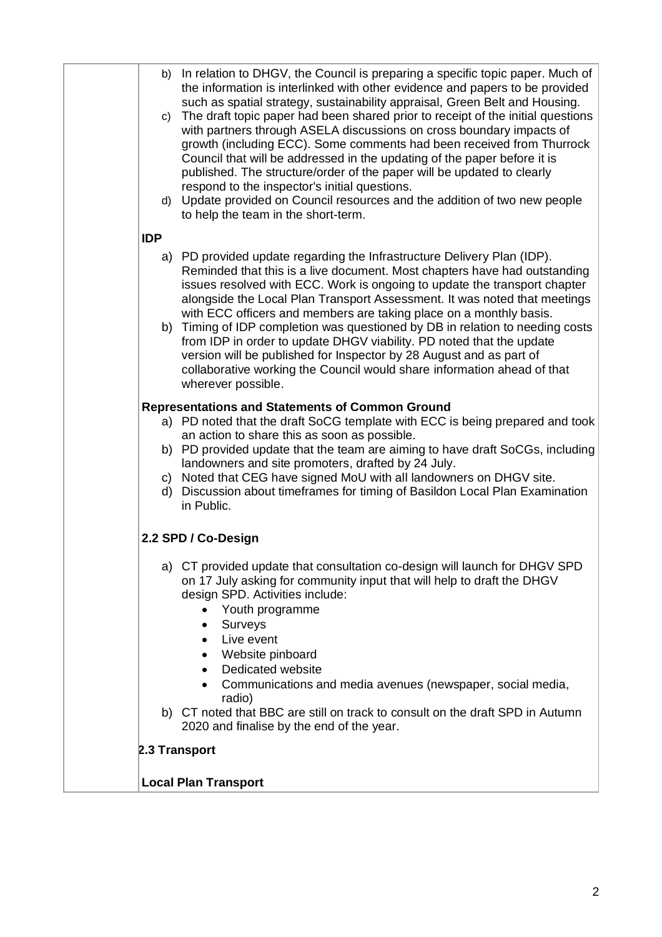|            | b) In relation to DHGV, the Council is preparing a specific topic paper. Much of<br>the information is interlinked with other evidence and papers to be provided<br>such as spatial strategy, sustainability appraisal, Green Belt and Housing.<br>c) The draft topic paper had been shared prior to receipt of the initial questions<br>with partners through ASELA discussions on cross boundary impacts of<br>growth (including ECC). Some comments had been received from Thurrock<br>Council that will be addressed in the updating of the paper before it is<br>published. The structure/order of the paper will be updated to clearly<br>respond to the inspector's initial questions.<br>d) Update provided on Council resources and the addition of two new people<br>to help the team in the short-term.                                                                                                                                                                                                                              |
|------------|-------------------------------------------------------------------------------------------------------------------------------------------------------------------------------------------------------------------------------------------------------------------------------------------------------------------------------------------------------------------------------------------------------------------------------------------------------------------------------------------------------------------------------------------------------------------------------------------------------------------------------------------------------------------------------------------------------------------------------------------------------------------------------------------------------------------------------------------------------------------------------------------------------------------------------------------------------------------------------------------------------------------------------------------------|
| <b>IDP</b> |                                                                                                                                                                                                                                                                                                                                                                                                                                                                                                                                                                                                                                                                                                                                                                                                                                                                                                                                                                                                                                                 |
|            | a) PD provided update regarding the Infrastructure Delivery Plan (IDP).<br>Reminded that this is a live document. Most chapters have had outstanding<br>issues resolved with ECC. Work is ongoing to update the transport chapter<br>alongside the Local Plan Transport Assessment. It was noted that meetings<br>with ECC officers and members are taking place on a monthly basis.<br>b) Timing of IDP completion was questioned by DB in relation to needing costs<br>from IDP in order to update DHGV viability. PD noted that the update<br>version will be published for Inspector by 28 August and as part of<br>collaborative working the Council would share information ahead of that<br>wherever possible.<br>Representations and Statements of Common Ground<br>a) PD noted that the draft SoCG template with ECC is being prepared and took<br>an action to share this as soon as possible.<br>b) PD provided update that the team are aiming to have draft SoCGs, including<br>landowners and site promoters, drafted by 24 July. |
|            | c) Noted that CEG have signed MoU with all landowners on DHGV site.<br>d) Discussion about timeframes for timing of Basildon Local Plan Examination<br>in Public.                                                                                                                                                                                                                                                                                                                                                                                                                                                                                                                                                                                                                                                                                                                                                                                                                                                                               |
|            | 2.2 SPD / Co-Design                                                                                                                                                                                                                                                                                                                                                                                                                                                                                                                                                                                                                                                                                                                                                                                                                                                                                                                                                                                                                             |
|            | a) CT provided update that consultation co-design will launch for DHGV SPD<br>on 17 July asking for community input that will help to draft the DHGV<br>design SPD. Activities include:<br>Youth programme<br>Surveys<br>$\bullet$<br>Live event<br>$\bullet$<br>Website pinboard<br>$\bullet$<br>Dedicated website<br>$\bullet$<br>Communications and media avenues (newspaper, social media,                                                                                                                                                                                                                                                                                                                                                                                                                                                                                                                                                                                                                                                  |
|            | radio)                                                                                                                                                                                                                                                                                                                                                                                                                                                                                                                                                                                                                                                                                                                                                                                                                                                                                                                                                                                                                                          |
|            | b) CT noted that BBC are still on track to consult on the draft SPD in Autumn<br>2020 and finalise by the end of the year.                                                                                                                                                                                                                                                                                                                                                                                                                                                                                                                                                                                                                                                                                                                                                                                                                                                                                                                      |
|            | 2.3 Transport                                                                                                                                                                                                                                                                                                                                                                                                                                                                                                                                                                                                                                                                                                                                                                                                                                                                                                                                                                                                                                   |
|            |                                                                                                                                                                                                                                                                                                                                                                                                                                                                                                                                                                                                                                                                                                                                                                                                                                                                                                                                                                                                                                                 |
|            | <b>Local Plan Transport</b>                                                                                                                                                                                                                                                                                                                                                                                                                                                                                                                                                                                                                                                                                                                                                                                                                                                                                                                                                                                                                     |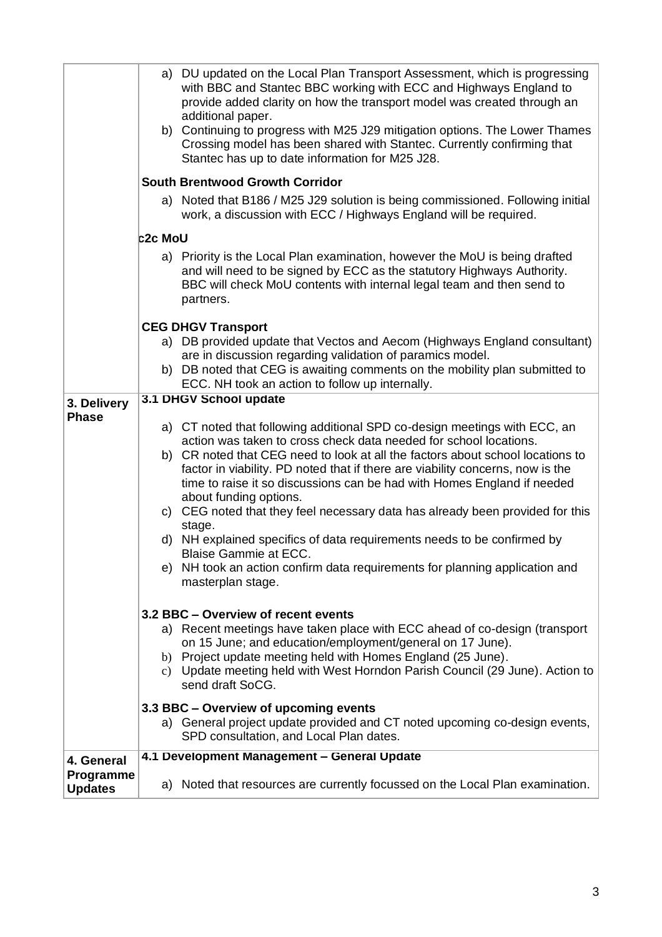|                             | a) DU updated on the Local Plan Transport Assessment, which is progressing<br>with BBC and Stantec BBC working with ECC and Highways England to<br>provide added clarity on how the transport model was created through an<br>additional paper.<br>b) Continuing to progress with M25 J29 mitigation options. The Lower Thames<br>Crossing model has been shared with Stantec. Currently confirming that<br>Stantec has up to date information for M25 J28.                                                                                                                                                                                                                                                                       |  |  |  |
|-----------------------------|-----------------------------------------------------------------------------------------------------------------------------------------------------------------------------------------------------------------------------------------------------------------------------------------------------------------------------------------------------------------------------------------------------------------------------------------------------------------------------------------------------------------------------------------------------------------------------------------------------------------------------------------------------------------------------------------------------------------------------------|--|--|--|
|                             | <b>South Brentwood Growth Corridor</b>                                                                                                                                                                                                                                                                                                                                                                                                                                                                                                                                                                                                                                                                                            |  |  |  |
|                             | a) Noted that B186 / M25 J29 solution is being commissioned. Following initial<br>work, a discussion with ECC / Highways England will be required.                                                                                                                                                                                                                                                                                                                                                                                                                                                                                                                                                                                |  |  |  |
|                             | <b>c2c MoU</b>                                                                                                                                                                                                                                                                                                                                                                                                                                                                                                                                                                                                                                                                                                                    |  |  |  |
|                             | a) Priority is the Local Plan examination, however the MoU is being drafted<br>and will need to be signed by ECC as the statutory Highways Authority.<br>BBC will check MoU contents with internal legal team and then send to<br>partners.                                                                                                                                                                                                                                                                                                                                                                                                                                                                                       |  |  |  |
|                             | <b>CEG DHGV Transport</b>                                                                                                                                                                                                                                                                                                                                                                                                                                                                                                                                                                                                                                                                                                         |  |  |  |
|                             | a) DB provided update that Vectos and Aecom (Highways England consultant)<br>are in discussion regarding validation of paramics model.                                                                                                                                                                                                                                                                                                                                                                                                                                                                                                                                                                                            |  |  |  |
|                             | b) DB noted that CEG is awaiting comments on the mobility plan submitted to<br>ECC. NH took an action to follow up internally.                                                                                                                                                                                                                                                                                                                                                                                                                                                                                                                                                                                                    |  |  |  |
| 3. Delivery                 | 3.1 DHGV School update                                                                                                                                                                                                                                                                                                                                                                                                                                                                                                                                                                                                                                                                                                            |  |  |  |
| <b>Phase</b>                | a) CT noted that following additional SPD co-design meetings with ECC, an<br>action was taken to cross check data needed for school locations.<br>b) CR noted that CEG need to look at all the factors about school locations to<br>factor in viability. PD noted that if there are viability concerns, now is the<br>time to raise it so discussions can be had with Homes England if needed<br>about funding options.<br>c) CEG noted that they feel necessary data has already been provided for this<br>stage.<br>d) NH explained specifics of data requirements needs to be confirmed by<br><b>Blaise Gammie at ECC.</b><br>e) NH took an action confirm data requirements for planning application and<br>masterplan stage. |  |  |  |
|                             | 3.2 BBC - Overview of recent events<br>a) Recent meetings have taken place with ECC ahead of co-design (transport<br>on 15 June; and education/employment/general on 17 June).<br>b) Project update meeting held with Homes England (25 June).<br>c) Update meeting held with West Horndon Parish Council (29 June). Action to<br>send draft SoCG.<br>3.3 BBC - Overview of upcoming events                                                                                                                                                                                                                                                                                                                                       |  |  |  |
|                             | a) General project update provided and CT noted upcoming co-design events,<br>SPD consultation, and Local Plan dates.                                                                                                                                                                                                                                                                                                                                                                                                                                                                                                                                                                                                             |  |  |  |
| 4. General                  | 4.1 Development Management - General Update                                                                                                                                                                                                                                                                                                                                                                                                                                                                                                                                                                                                                                                                                       |  |  |  |
| Programme<br><b>Updates</b> | a) Noted that resources are currently focussed on the Local Plan examination.                                                                                                                                                                                                                                                                                                                                                                                                                                                                                                                                                                                                                                                     |  |  |  |